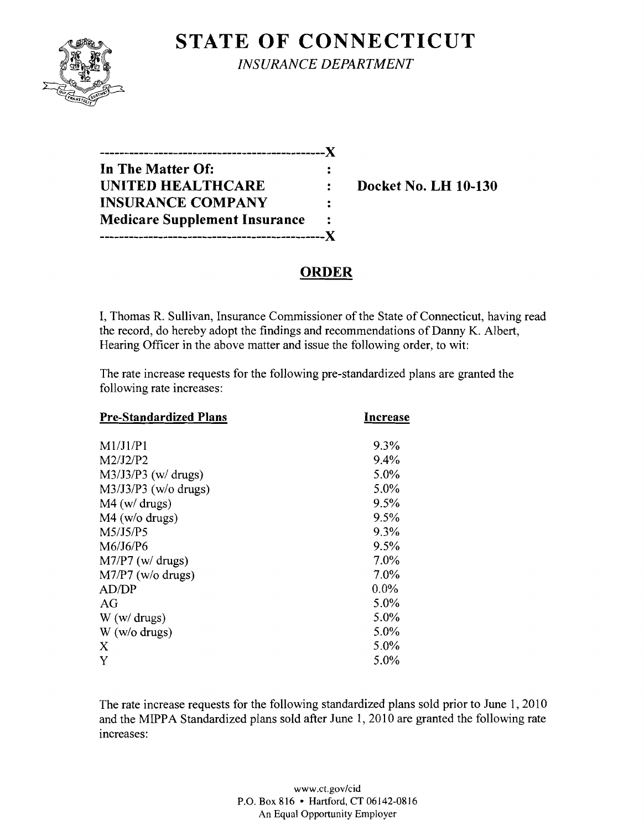

# **STATE OF CONNECTICUT** *INSURANCE DEPARTMENT*

| --------------------------           |  |
|--------------------------------------|--|
| In The Matter Of:                    |  |
| <b>UNITED HEALTHCARE</b>             |  |
| <b>INSURANCE COMPANY</b>             |  |
| <b>Medicare Supplement Insurance</b> |  |
| -------------------------------      |  |

**Docket No. LH 10-130** 

# **ORDER**

I, Thomas R. Sullivan, Insurance Commissioner of the State of Connecticut, having read the record, do hereby adopt the findings and recommendations of Danny K. Albert, Hearing Officer in the above matter and issue the following order, to wit:

The rate increase requests for the following pre-standardized plans are granted the following rate increases:

| <b>Pre-Standardized Plans</b> | Increase |
|-------------------------------|----------|
| M1/J1/P1                      | 9.3%     |
| M2/J2/P2                      | 9.4%     |
| $M3/J3/P3$ (w/ drugs)         | 5.0%     |
| $M3/J3/P3$ (w/o drugs)        | 5.0%     |
| $M4$ (w/ drugs)               | 9.5%     |
| $M4$ (w/o drugs)              | $9.5\%$  |
| M5/J5/P5                      | 9.3%     |
| M6/J6/P6                      | $9.5\%$  |
| $M7/P7$ (w/ drugs)            | 7.0%     |
| $M7/P7$ (w/o drugs)           | 7.0%     |
| AD/DP                         | $0.0\%$  |
| AG                            | 5.0%     |
| W(w/drugs)                    | 5.0%     |
| $W$ (w/o drugs)               | 5.0%     |
| X                             | 5.0%     |
| Y                             | 5.0%     |

The rate increase requests for the following standardized plans sold prior to June 1, 2010 and the MIPPA Standardized plans sold after June 1,2010 are granted the following rate increases:

> www.CLgov/cid P.O. Box 816 • Hartford, CT 06142-0816 An Equal Opportunity Employer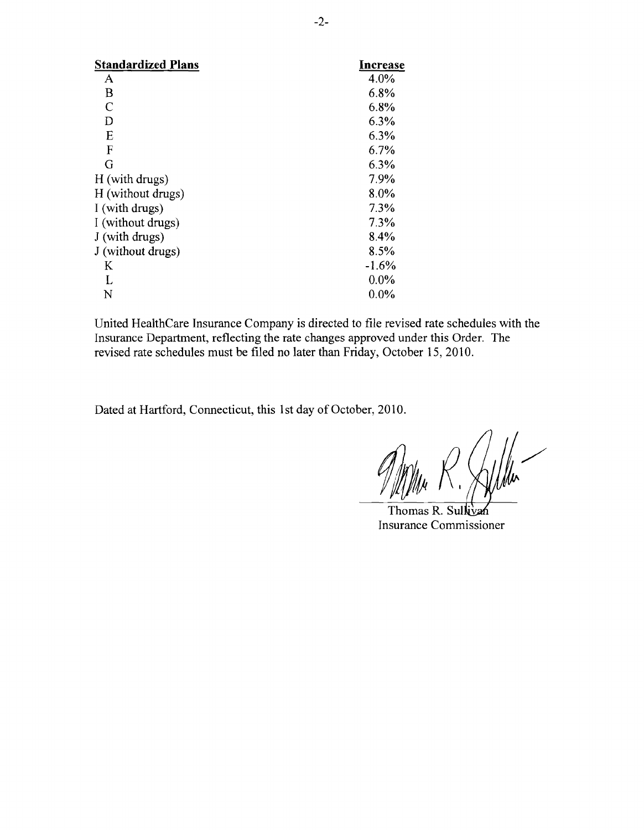| <b>Standardized Plans</b> | Increase |
|---------------------------|----------|
| A                         | 4.0%     |
| B                         | 6.8%     |
| C                         | 6.8%     |
| D                         | 6.3%     |
| E                         | 6.3%     |
| F                         | 6.7%     |
| G                         | 6.3%     |
| H (with drugs)            | 7.9%     |
| H (without drugs)         | 8.0%     |
| I (with drugs)            | 7.3%     |
| I (without drugs)         | 7.3%     |
| J (with drugs)            | 8.4%     |
| J (without drugs)         | 8.5%     |
| K                         | $-1.6%$  |
| L                         | $0.0\%$  |
| N                         | $0.0\%$  |

United HealthCare Insurance Company is directed to file revised rate schedules with the Insurance Department, reflecting the rate changes approved under this Order. The revised rate schedules must be filed no later than Friday, October 15,2010.

Dated at Hartford, Connecticut, this 1st day of October, 2010.

Thomas R. Sullivan Insurance Commissioner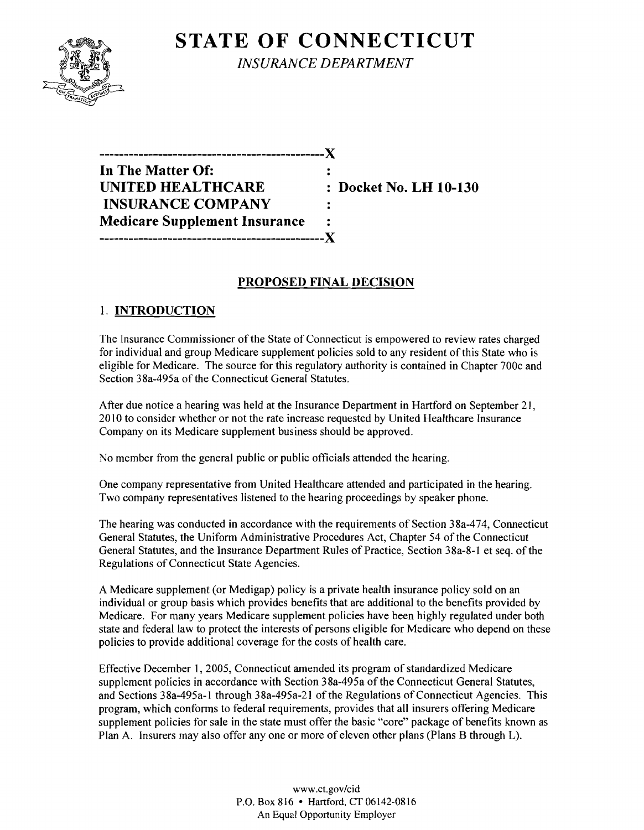

**STATE OF CONNECTICUT** *INSURANCE DEPARTMENT* 

**----------------------------------------------)( In The Matter Of: UNITED HEALTHCARE : Docket No. LH 10-130 INSURANCE COMPANY**   $\ddot{\cdot}$ **Medicare Supplement Insurance ----------------------------------------------)(** 

# **PROPOSED FINAL DECISION**

# 1. **INTRODUCTION**

The Insurance Commissioner of the State of Connecticut is empowered to review rates charged for individual and group Medicare supplement policies sold to any resident ofthis State who is eligible for Medicare. The source for this regulatory authority is contained in Chapter 700c and Section 38a-495a of the Connecticut General Statutes.

After due notice a hearing was held at the Insurance Department in Hartford on September 21, 20 10 to consider whether or not the rate increase requested by United Healthcare Insurance Company on its Medicare supplement business should be approved.

No member from the general public or public officials attended the hearing.

One company representative from United Healthcare attended and participated in the hearing. Two company representatives listened to the hearing proceedings by speaker phone.

The hearing was conducted in accordance with the requirements of Section 38a-474, Connecticut General Statutes, the Uniform Administrative Procedures Act, Chapter 54 of the Connecticut General Statutes, and the Insurance Department Rules of Practice, Section 38a-8-1 et seq. of the Regulations of Connecticut State Agencies.

A Medicare supplement (or Medigap) policy is a private health insurance policy sold on an individual or group basis which provides benefits that are additional to the benefits provided by Medicare. For many years Medicare supplement policies have been highly regulated under both state and federal law to protect the interests of persons eligible for Medicare who depend on these policies to provide additional coverage for the costs of health care.

Effective December 1, 2005, Connecticut amended its program of standardized Medicare supplement policies in accordance with Section 38a-495a of the Connecticut General Statutes, and Sections 38a-495a-1 through 38a-495a-21 of the Regulations of Connecticut Agencies. This program, which conforms to federal requirements, provides that all insurers offering Medicare supplement policies for sale in the state must offer the basic "core" package of benefits known as Plan A. Insurers may also offer any one or more of eleven other plans (Plans B through L).

> www.ct.gov/cid P.O. Box 816 • Hartford, CT 06142-0816 An Equal Opportunity Employer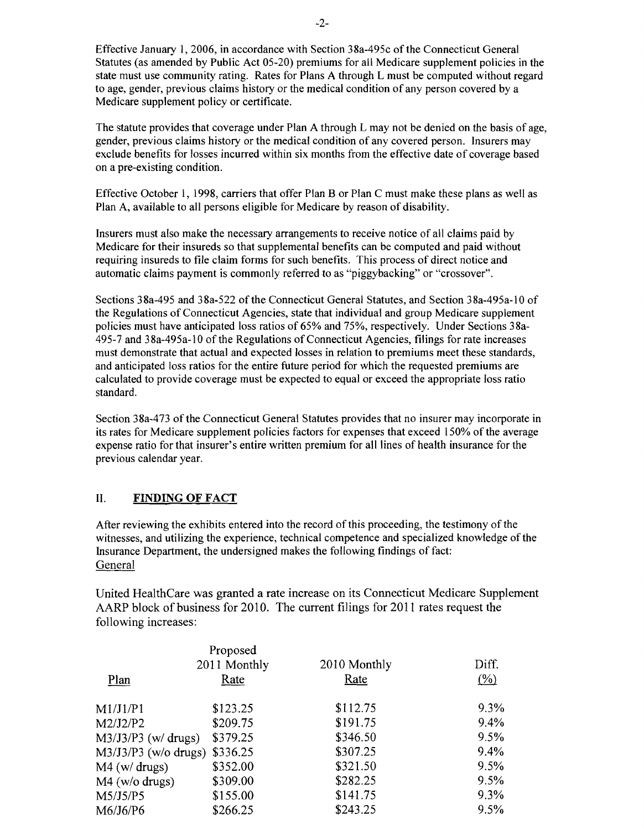Effective January 1, 2006, in accordance with Section 38a-495c of the Connecticut General Statutes (as amended by Public Act 05-20) premiums for all Medicare supplement policies in the state must use community rating. Rates for Plans A through L must be computed without regard to age, gender, previous claims history or the medical condition of any person covered by a Medicare supplement policy or certificate.

The statute provides that coverage under Plan A through L may not be denied on the basis of age, gender, previous claims history or the medical condition of any covered person. Insurers may exclude benefits for losses incurred within six months from the effective date of coverage based on a pre-existing condition.

Effective October 1, 1998, carriers that offer Plan B or Plan C must make these plans as well as Plan A, available to all persons eligible for Medicare by reason of disability.

Insurers must also make the necessary arrangements to receive notice of all claims paid by Medicare for their insureds so that supplemental benefits can be computed and paid without requiring insureds to file claim forms for such benefits. This process of direct notice and automatic claims payment is commonly referred to as "piggybacking" or "crossover".

Sections 38a-495 and 38a-522 of the Connecticut General Statutes, and Section 38a-495a-10 of the Regulations of Connecticut Agencies, state that individual and group Medicare supplement policies must have anticipated loss ratios of 65% and 75%, respectively. Under Sections 38a-495-7 and 38a-495a-l 0 of the Regulations of Connecticut Agencies, filings for rate increases must demonstrate that actual and expected losses in relation to premiums meet these standards, and anticipated loss ratios for the entire future period for which the requested premiums are calculated to provide coverage must be expected to equal or exceed the appropriate loss ratio standard.

Section 38a-473 of the Connecticut General Statutes provides that no insurer may incorporate in its rates for Medicare supplement policies factors for expenses that exceed 150% of the average expense ratio for that insurer's entire written premium for all lines of health insurance for the previous calendar year.

#### II. **FINDING OF FACT**

After reviewing the exhibits entered into the record of this proceeding, the testimony of the witnesses, and utilizing the experience, technical competence and specialized knowledge of the Insurance Department, the undersigned makes the following findings of fact: General

United HealthCare was granted a rate increase on its Connecticut Medicare Supplement AARP block of business for 2010. The current filings for 2011 rates request the following increases:

| Plan                   | Proposed<br>2011 Monthly<br>Rate | 2010 Monthly<br>Rate | Diff.<br>$($ %) |
|------------------------|----------------------------------|----------------------|-----------------|
| M1/J1/P1               | \$123.25                         | \$112.75             | $9.3\%$         |
| M2/J2/P2               | \$209.75                         | \$191.75             | 9.4%            |
| $M3/J3/P3$ (w/ drugs)  | \$379.25                         | \$346.50             | 9.5%            |
| $M3/J3/P3$ (w/o drugs) | \$336.25                         | \$307.25             | 9.4%            |
| $M4$ (w/ drugs)        | \$352.00                         | \$321.50             | 9.5%            |
| $M4$ (w/o drugs)       | \$309.00                         | \$282.25             | 9.5%            |
| M5/J5/P5               | \$155.00                         | \$141.75             | $9.3\%$         |
| M6/J6/P6               | \$266.25                         | \$243.25             | 9.5%            |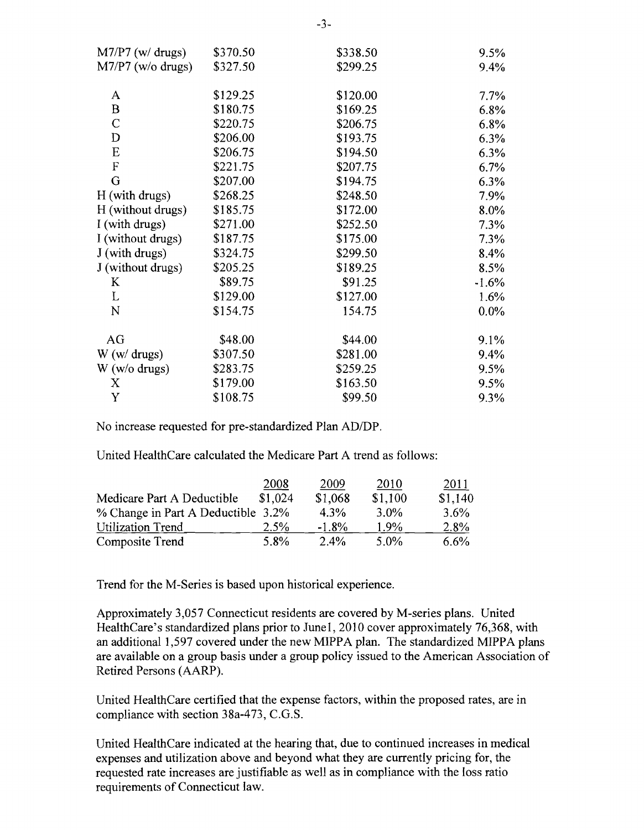| $M7/P7$ (w/ drugs)  | \$370.50 | \$338.50 | 9.5%    |
|---------------------|----------|----------|---------|
| $M7/P7$ (w/o drugs) | \$327.50 | \$299.25 | 9.4%    |
|                     | \$129.25 |          |         |
| A                   |          | \$120.00 | 7.7%    |
| $\bf{B}$            | \$180.75 | \$169.25 | 6.8%    |
| $\mathcal{C}$       | \$220.75 | \$206.75 | 6.8%    |
| D                   | \$206.00 | \$193.75 | 6.3%    |
| E                   | \$206.75 | \$194.50 | 6.3%    |
| F                   | \$221.75 | \$207.75 | 6.7%    |
| G                   | \$207.00 | \$194.75 | 6.3%    |
| H (with drugs)      | \$268.25 | \$248.50 | 7.9%    |
| H (without drugs)   | \$185.75 | \$172.00 | 8.0%    |
| I (with drugs)      | \$271.00 | \$252.50 | 7.3%    |
| I (without drugs)   | \$187.75 | \$175.00 | 7.3%    |
| J (with drugs)      | \$324.75 | \$299.50 | 8.4%    |
| J (without drugs)   | \$205.25 | \$189.25 | 8.5%    |
| K                   | \$89.75  | \$91.25  | $-1.6%$ |
| L                   | \$129.00 | \$127.00 | 1.6%    |
| N                   | \$154.75 | 154.75   | $0.0\%$ |
| AG                  | \$48.00  | \$44.00  | 9.1%    |
| W(w/drugs)          | \$307.50 | \$281.00 | 9.4%    |
| $W$ (w/o drugs)     | \$283.75 | \$259.25 | 9.5%    |
| X                   | \$179.00 | \$163.50 | 9.5%    |
| $\mathbf Y$         | \$108.75 | \$99.50  | 9.3%    |

No increase requested for pre-standardized Plan *AD/DP.* 

United HealthCare calculated the Medicare Part A trend as follows:

|                                    | 2008    | 2009    | 2010    | 2011    |
|------------------------------------|---------|---------|---------|---------|
| Medicare Part A Deductible         | \$1,024 | \$1,068 | \$1,100 | \$1,140 |
| % Change in Part A Deductible 3.2% |         | $4.3\%$ | $3.0\%$ | $3.6\%$ |
| Utilization Trend                  | 2.5%    | $-1.8%$ | $1.9\%$ | 2.8%    |
| Composite Trend                    | 5.8%    | $2.4\%$ | 5.0%    | 6.6%    |

Trend for the M-Series is based upon historical experience.

Approximately 3,057 Connecticut residents are covered by M-series plans. United HealthCare's standardized plans prior to June1, 2010 cover approximately 76,368, with an additional 1,597 covered under the new MIPPA plan. The standardized MIPPA plans are available on a group basis under a group policy issued to the American Association of Retired Persons (AARP).

United HealthCare certified that the expense factors, within the proposed rates, are in compliance with section 38a-473, C.G.S.

United HealthCare indicated at the hearing that, due to continued increases in medical expenses and utilization above and beyond what they are currently pricing for, the requested rate increases are justifiable as well as in compliance with the loss ratio requirements of Connecticut law.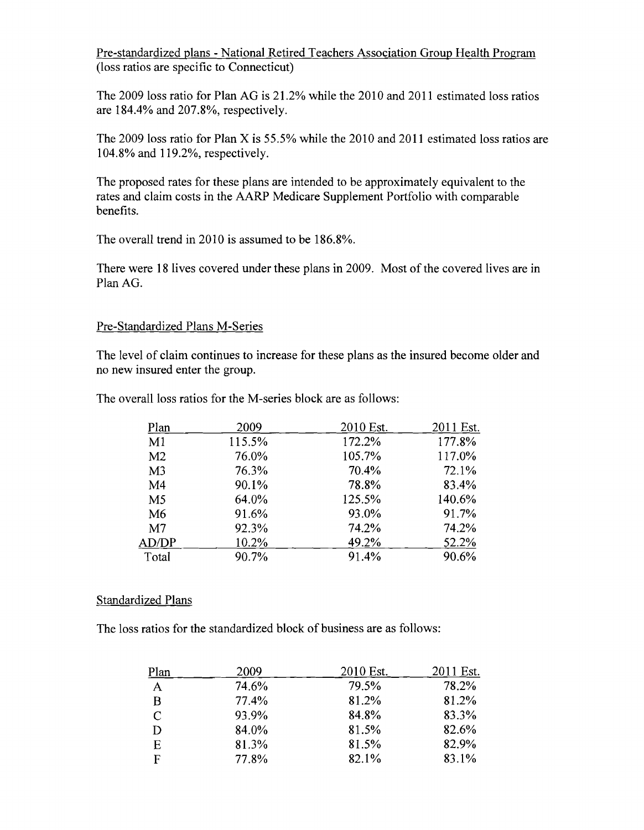Pre-standardized plans - National Retired Teachers Association Group Health Program (loss ratios are specific to Connecticut)

The 2009 loss ratio for Plan AG is 21.2% while the 2010 and 2011 estimated loss ratios are 184.4% and 207.8%, respectively.

The 2009 loss ratio for Plan X is 55.5% while the 2010 and 2011 estimated loss ratios are 104.8% and 119.2%, respectively.

The proposed rates for these plans are intended to be approximately equivalent to the rates and claim costs in the AARP Medicare Supplement Portfolio with comparable benefits.

The overall trend in 2010 is assumed to be 186.8%.

There were 18 lives covered under these plans in 2009. Most of the covered lives are in Plan AG.

## Pre-Standardized Plans M-Series

The level of claim continues to increase for these plans as the insured become older and no new insured enter the group.

| Plan           | 2009   | 2010 Est. | 2011 Est. |
|----------------|--------|-----------|-----------|
| M <sub>1</sub> | 115.5% | 172.2%    | 177.8%    |
| M <sub>2</sub> | 76.0%  | 105.7%    | 117.0%    |
| M <sub>3</sub> | 76.3%  | 70.4%     | 72.1%     |
| M <sub>4</sub> | 90.1%  | 78.8%     | 83.4%     |
| M5             | 64.0%  | 125.5%    | 140.6%    |
| M <sub>6</sub> | 91.6%  | 93.0%     | 91.7%     |
| M <sub>7</sub> | 92.3%  | 74.2%     | 74.2%     |
| AD/DP          | 10.2%  | 49.2%     | 52.2%     |
| Total          | 90.7%  | 91.4%     | 90.6%     |

The overall loss ratios for the M-series block are as follows:

## Standardized Plans

The loss ratios for the standardized block of business are as follows:

| Plan          | 2009  | 2010 Est. | 2011 Est. |
|---------------|-------|-----------|-----------|
| $\mathbf{A}$  | 74.6% | 79.5%     | 78.2%     |
| B             | 77.4% | 81.2%     | 81.2%     |
| $\mathcal{C}$ | 93.9% | 84.8%     | 83.3%     |
| D             | 84.0% | 81.5%     | 82.6%     |
| E             | 81.3% | 81.5%     | 82.9%     |
| F             | 77.8% | 82.1%     | 83.1%     |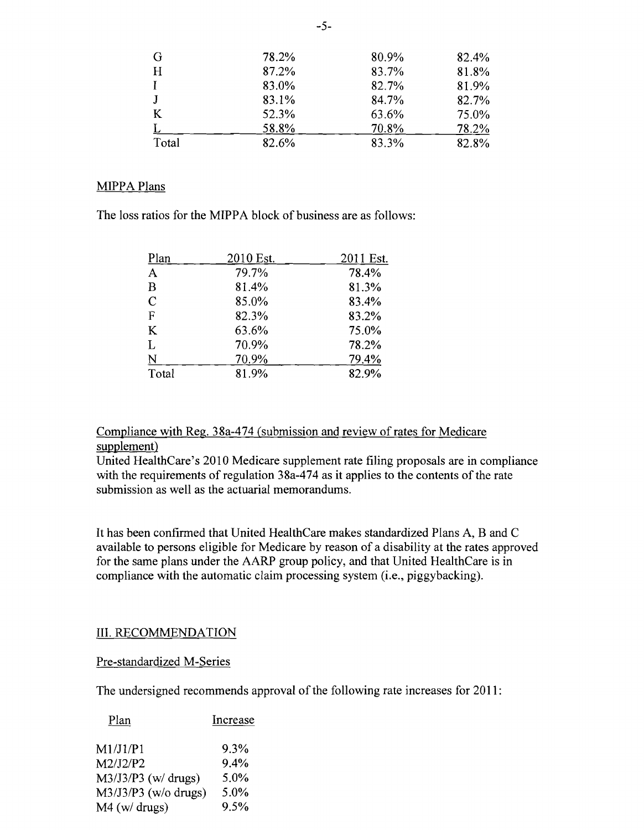| G     | 78.2% | 80.9% | 82.4% |
|-------|-------|-------|-------|
| H     | 87.2% | 83.7% | 81.8% |
| T     | 83.0% | 82.7% | 81.9% |
| J     | 83.1% | 84.7% | 82.7% |
| K     | 52.3% | 63.6% | 75.0% |
|       | 58.8% | 70.8% | 78.2% |
| Total | 82.6% | 83.3% | 82.8% |

#### MIPPA Plans

The loss ratios for the MIPPA block of business are as follows:

| Plan                    | 2010 Est. | 2011 Est. |
|-------------------------|-----------|-----------|
| $\mathbf{A}$            | 79.7%     | 78.4%     |
| B                       | 81.4%     | 81.3%     |
| $\mathcal{C}$           | 85.0%     | 83.4%     |
| $\mathbf F$             | 82.3%     | 83.2%     |
| K                       | 63.6%     | 75.0%     |
| L                       | 70.9%     | 78.2%     |
| $\overline{\mathsf{N}}$ | 70.9%     | 79.4%     |
| Total                   | 81.9%     | 82.9%     |

Compliance with Reg. 38a-474 (submission and review of rates for Medicare supplement)

United HealthCare's 2010 Medicare supplement rate filing proposals are in compliance with the requirements of regulation 38a-474 as it applies to the contents of the rate submission as well as the actuarial memorandums.

It has been confirmed that United HealthCare makes standardized Plans A, B and C available to persons eligible for Medicare by reason of a disability at the rates approved for the same plans under the AARP group policy, and that United HealthCare is in compliance with the automatic claim processing system (i.e., piggybacking).

## III. RECOMMENDATION

#### Pre-standardized M-Series

The undersigned recommends approval of the following rate increases for 2011:

| Plan                   | Increase |
|------------------------|----------|
| M1/J1/P1               | 9.3%     |
| M2/J2/P2               | $9.4\%$  |
| $M3/J3/P3$ (w/drugs)   | 5.0%     |
| $M3/J3/P3$ (w/o drugs) | 5.0%     |
| M4 (w/ drugs)          | 9.5%     |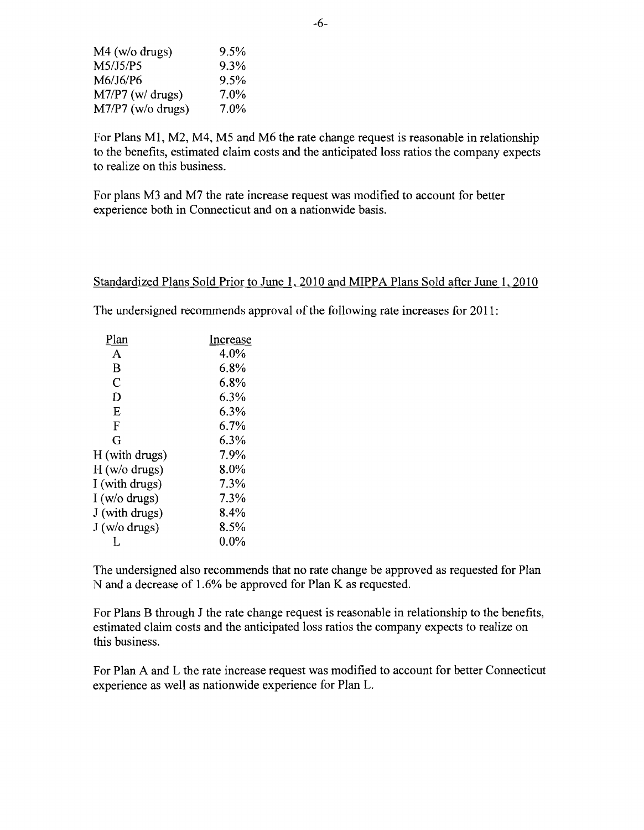| $9.5\%$ |
|---------|
| 9.3%    |
| $9.5\%$ |
| 7.0%    |
| $7.0\%$ |
|         |

For Plans MI, M2, M4, M5 and M6 the rate change request is reasonable in relationship to the benefits, estimated claim costs and the anticipated loss ratios the company expects to realize on this business.

For plans M3 and M7 the rate increase request was modified to account for better experience both in Connecticut and on a nationwide basis.

#### Standardized Plans Sold Prior to June 1, 2010 and MIPPA Plans Sold after June 1, 2010

The undersigned recommends approval of the following rate increases for 2011:

| Plan           | Increase |
|----------------|----------|
| A              | 4.0%     |
| B              | 6.8%     |
| $\overline{C}$ | 6.8%     |
| D              | 6.3%     |
| E              | 6.3%     |
| F              | 6.7%     |
| G              | 6.3%     |
| H (with drugs) | 7.9%     |
| H (w/o drugs)  | 8.0%     |
| I (with drugs) | 7.3%     |
| I (w/o drugs)  | 7.3%     |
| J (with drugs) | 8.4%     |
| J (w/o drugs)  | 8.5%     |
|                | $0.0\%$  |

The undersigned also recommends that no rate change be approved as requested for Plan N and a decrease of 1.6% be approved for Plan K as requested.

For Plans B through J the rate change request is reasonable in relationship to the benefits, estimated claim costs and the anticipated loss ratios the company expects to realize on this business.

For Plan A and L the rate increase request was modified to account for better Connecticut experience as well as nationwide experience for Plan L.